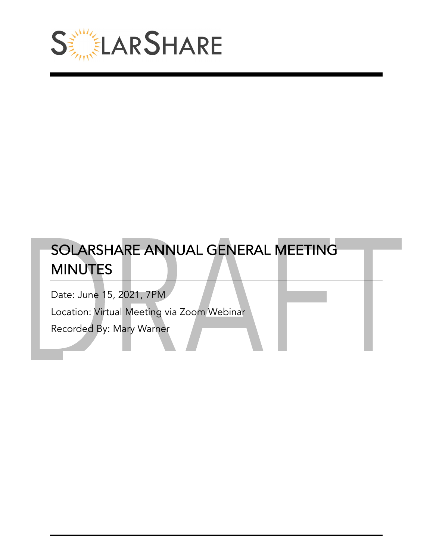

# SOLARSHARE ANNUAL GENERAL MEETING **MINUTES**

Date: June 15, 2021, 7PM

Location: Virtual Meeting via Zoom Webinar

Recorded By: Mary Warner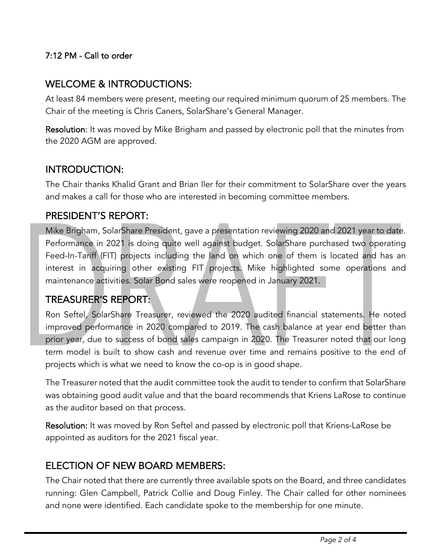#### 7:12 PM - Call to order

# WELCOME & INTRODUCTIONS:

At least 84 members were present, meeting our required minimum quorum of 25 members. The Chair of the meeting is Chris Caners, SolarShare's General Manager.

Resolution: It was moved by Mike Brigham and passed by electronic poll that the minutes from the 2020 AGM are approved.

### INTRODUCTION:

The Chair thanks Khalid Grant and Brian Iler for their commitment to SolarShare over the years and makes a call for those who are interested in becoming committee members.

#### PRESIDENT'S REPORT:

Mike Brigham, SolarShare President, gave a presentation reviewing 2020 and 2021 year to date. Performance in 2021 is doing quite well against budget. SolarShare purchased two operating Feed-In-Tariff (FIT) projects including the land on which one of them is located and has an interest in acquiring other existing FIT projects. Mike highlighted some operations and maintenance activities. Solar Bond sales were reopened in January 2021.

#### TREASURER'S REPORT:

Ron Seftel, SolarShare Treasurer, reviewed the 2020 audited financial statements. He noted improved performance in 2020 compared to 2019. The cash balance at year end better than prior year, due to success of bond sales campaign in 2020. The Treasurer noted that our long term model is built to show cash and revenue over time and remains positive to the end of projects which is what we need to know the co-op is in good shape.

The Treasurer noted that the audit committee took the audit to tender to confirm that SolarShare was obtaining good audit value and that the board recommends that Kriens LaRose to continue as the auditor based on that process.

Resolution: It was moved by Ron Seftel and passed by electronic poll that Kriens-LaRose be appointed as auditors for the 2021 fiscal year.

# ELECTION OF NEW BOARD MEMBERS:

The Chair noted that there are currently three available spots on the Board, and three candidates running: Glen Campbell, Patrick Collie and Doug Finley. The Chair called for other nominees and none were identified. Each candidate spoke to the membership for one minute.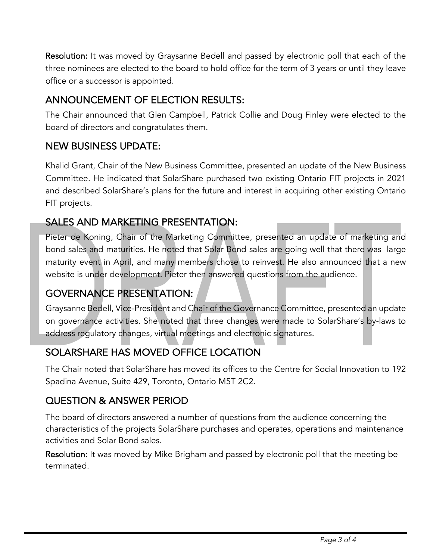Resolution: It was moved by Graysanne Bedell and passed by electronic poll that each of the three nominees are elected to the board to hold office for the term of 3 years or until they leave office or a successor is appointed.

# ANNOUNCEMENT OF ELECTION RESULTS:

The Chair announced that Glen Campbell, Patrick Collie and Doug Finley were elected to the board of directors and congratulates them.

# NEW BUSINESS UPDATE:

Khalid Grant, Chair of the New Business Committee, presented an update of the New Business Committee. He indicated that SolarShare purchased two existing Ontario FIT projects in 2021 and described SolarShare's plans for the future and interest in acquiring other existing Ontario FIT projects.

# SALES AND MARKETING PRESENTATION:

Pieter de Koning, Chair of the Marketing Committee, presented an update of marketing and bond sales and maturities. He noted that Solar Bond sales are going well that there was large maturity event in April, and many members chose to reinvest. He also announced that a new website is under development. Pieter then answered questions from the audience.

# GOVERNANCE PRESENTATION:

Graysanne Bedell, Vice-President and Chair of the Governance Committee, presented an update on governance activities. She noted that three changes were made to SolarShare's by-laws to address regulatory changes, virtual meetings and electronic signatures.

# SOLARSHARE HAS MOVED OFFICE LOCATION

The Chair noted that SolarShare has moved its offices to the Centre for Social Innovation to 192 Spadina Avenue, Suite 429, Toronto, Ontario M5T 2C2.

# QUESTION & ANSWER PERIOD

The board of directors answered a number of questions from the audience concerning the characteristics of the projects SolarShare purchases and operates, operations and maintenance activities and Solar Bond sales.

Resolution: It was moved by Mike Brigham and passed by electronic poll that the meeting be terminated.